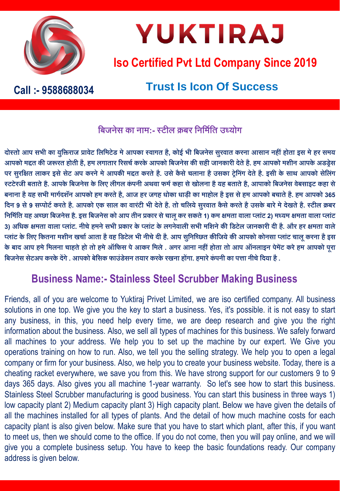

## **YUKTIRAJ**

### **Iso Certified Pvt Ltd Company Since 2019**

### **Trust Is Icon Of Success Call :- 9588688034**

### **बिजनेस का नाम:-स्टील क्रिर बनबमिबि उध्योग**

दोस्तो आप सभी का युक्तिराज प्रावेट लिमिटेड मे आपका स्वागत है, कोई भी बिजनेस सुरवात करना आसान नहीं होता इस मे हर समय आपको मद्दत की जरूरत होती है, हम लगातार रिसर्च करके आपको बिजनेस की सही जानकारी देते है. हम आपको मशीन आपके अडड़ेस पर सुरक्षित लाकर इसे सेट अप करने मे आपकी मद्दत करते है. उसे कैसे चलाना है उसका ट्रेनिंग देते है. इसी के साथ आपको सेलिंग **स्टटेरजी ििािेहै. आपकेबिजनेस केबलए लीगल किंपनी अथवा फमिकहा सेखोलना हैयह ििािेहै, आपाको बिजनेस वेिसाइट कहा से** बनाना है यह सभी मार्गदशॅन आपको हम करते है, आज हर जगह धोका धाड़ी का माहोल है इस से हम आपको बचाते है. हम आपको 365 दिन 9 से 9 सप्पोर्ट करते है. आपको एक साल का वारंटी भी देते है. तो चलिये सुरवात कैसे करते है उसके बारे मे देखते है. स्टील क्रबर निर्मिति यह अच्छा बिजनेस है. इस बिजनेस को आप तीन प्रकार से चालू कर सकते 1) कम क्षमता वाला प्लांट 2) मध्यम क्षमता वाला प्लांट 3) अधिक क्षमता वाला प्लांट. नीचे हमने सभी प्रकार के प्लांट के लगनेवाली सभी मशिने की डिटेल जानकारी दी है. और हर क्षमता वाले प्लांट के लिए कितना मशीन खर्चा आता है वह डिटेल भी नीचे दी है. आप सुनिच्छित कीजिये की आपको कोनसा प्लांट चालू करना है इस के बाद आप हमे मिलना चाहते हो तो हमे ऑफिस पे आकर मिले . अगर आना नहीं होता तो आप ऑनलाइन पेमेंट करे हम आपको पूरा **बिजनेस सटे अप करकेदेंगे. आपको िेबसक फाउिंडेसन ियार करकेरखना होंगा. हमारेकिंपनी का पत्ता नीर्ेबदया है.**

### **Business Name:- Stainless Steel Scrubber Making Business**

Friends, all of you are welcome to Yuktiraj Privet Limited, we are iso certified company. All business solutions in one top. We give you the key to start a business. Yes, it's possible. it is not easy to start any business, in this, you need help every time, we are deep research and give you the right information about the business. Also, we sell all types of machines for this business. We safely forward all machines to your address. We help you to set up the machine by our expert. We Give you operations training on how to run. Also, we tell you the selling strategy. We help you to open a legal company or firm for your business. Also, we help you to create your business website. Today, there is a cheating racket everywhere, we save you from this. We have strong support for our customers 9 to 9 days 365 days. Also gives you all machine 1-year warranty. So let's see how to start this business. Stainless Steel Scrubber manufacturing is good business. You can start this business in three ways 1) low capacity plant 2) Medium capacity plant 3) High capacity plant. Below we have given the details of all the machines installed for all types of plants. And the detail of how much machine costs for each capacity plant is also given below. Make sure that you have to start which plant, after this, if you want to meet us, then we should come to the office. If you do not come, then you will pay online, and we will give you a complete business setup. You have to keep the basic foundations ready. Our company address is given below.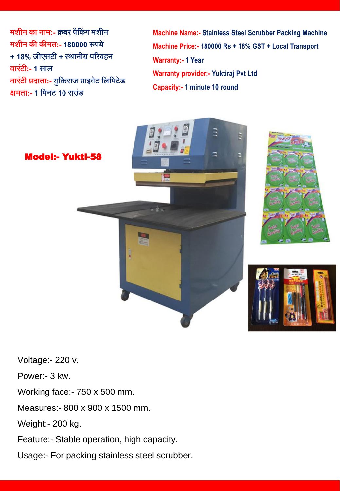**मशीन का नाम:- क्रिर पैबकिंग मशीन मशीन की कीमि:- 180000 रुपये + 18% जीएसटी + स्थानीय पररवहन वारटिं ी:- 1 साल वारटिं ी प्रदािा:- युबिराज प्राइवेट बलबमटेड िमिा:- 1 बमनट 10 राउिंड**

**Machine Name:- Stainless Steel Scrubber Packing Machine Machine Price:- 180000 Rs + 18% GST + Local Transport Warranty:- 1 Year Warranty provider:- Yuktiraj Pvt Ltd Capacity:- 1 minute 10 round** 







Voltage:- 220 v.

Power:- 3 kw.

Working face:- 750 x 500 mm.

Measures:- 800 x 900 x 1500 mm.

Weight:- 200 kg.

Feature:- Stable operation, high capacity.

Usage:- For packing stainless steel scrubber.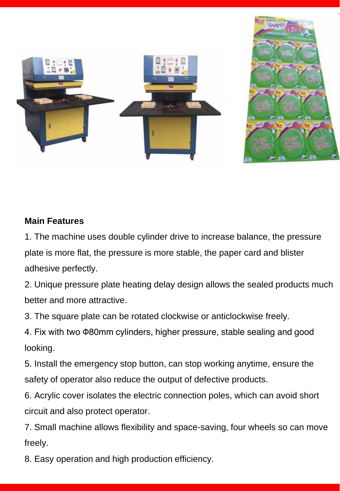

### **Main Features**

1. The machine uses double cylinder drive to increase balance, the pressure plate is more flat, the pressure is more stable, the paper card and blister adhesive perfectly.

2. Unique pressure plate heating delay design allows the sealed products much better and more attractive.

3. The square plate can be rotated clockwise or anticlockwise freely.

4. Fix with two Φ80mm cylinders, higher pressure, stable sealing and good looking.

5. Install the emergency stop button, can stop working anytime, ensure the safety of operator also reduce the output of defective products.

6. Acrylic cover isolates the electric connection poles, which can avoid short circuit and also protect operator.

7. Small machine allows flexibility and space-saving, four wheels so can move freely.

8. Easy operation and high production efficiency.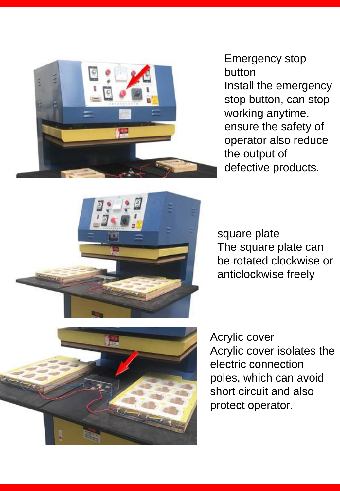

Emergency stop button

Install the emergency stop button, can stop working anytime, ensure the safety of operator also reduce the output of defective products.



square plate The square plate can be rotated clockwise or anticlockwise freely



Acrylic cover Acrylic cover isolates the electric connection poles, which can avoid short circuit and also protect operator.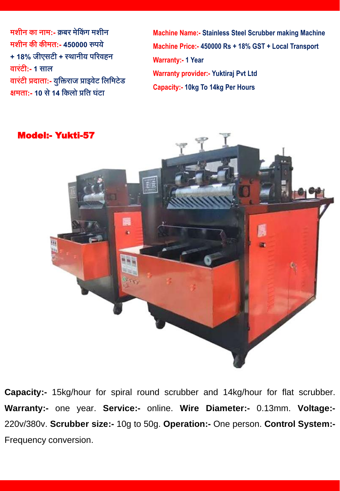**मशीन का नाम:- क्रिर मेबकिंग मशीन मशीन की कीमि:- 450000 रुपये + 18% जीएसटी + स्थानीय पररवहन वारटिं ी:- 1 साल वारटिं ी प्रदािा:- युबिराज प्राइवेट बलबमटेड िमिा:- 10 से14 बकलो प्रबि घटिं ा**

**Machine Name:- Stainless Steel Scrubber making Machine Machine Price:- 450000 Rs + 18% GST + Local Transport Warranty:- 1 Year Warranty provider:- Yuktiraj Pvt Ltd Capacity:- 10kg To 14kg Per Hours**



**Capacity:-** 15kg/hour for spiral round scrubber and 14kg/hour for flat scrubber. **Warranty:-** one year. **Service:-** online. **Wire Diameter:-** 0.13mm. **Voltage:-** 220v/380v. **Scrubber size:-** 10g to 50g. **Operation:-** One person. **Control System:-** Frequency conversion.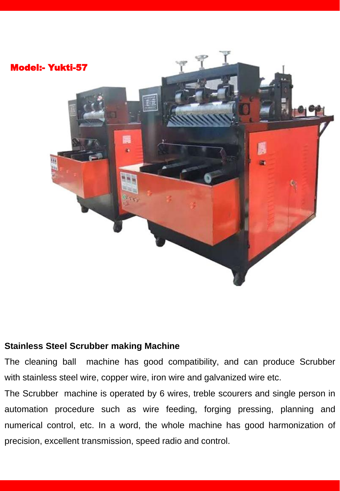

#### **Stainless Steel Scrubber making Machine**

The cleaning ball machine has good compatibility, and can produce Scrubber with stainless steel wire, copper wire, iron wire and galvanized wire etc.

The Scrubber machine is operated by 6 wires, treble scourers and single person in automation procedure such as wire feeding, forging pressing, planning and numerical control, etc. In a word, the whole machine has good harmonization of precision, excellent transmission, speed radio and control.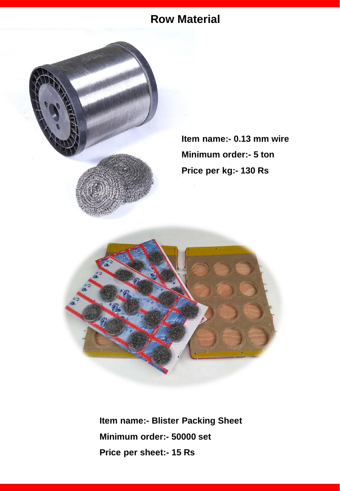### **Row Material**



**Item name:- 0.13 mm wire Minimum order:- 5 ton Price per kg:- 130 Rs** 



**Item name:- Blister Packing Sheet Minimum order:- 50000 set Price per sheet:- 15 Rs**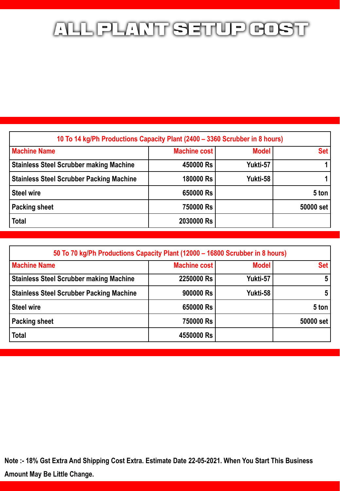### ALL PLANT SETUP GOST

| 10 To 14 kg/Ph Productions Capacity Plant (2400 – 3360 Scrubber in 8 hours) |                     |              |            |  |
|-----------------------------------------------------------------------------|---------------------|--------------|------------|--|
| <b>Machine Name</b>                                                         | <b>Machine cost</b> | <b>Model</b> | <b>Set</b> |  |
| <b>Stainless Steel Scrubber making Machine</b>                              | 450000 Rs           | Yukti-57     |            |  |
| <b>Stainless Steel Scrubber Packing Machine</b>                             | 180000 Rs           | Yukti-58     |            |  |
| <b>Steel wire</b>                                                           | 650000 Rs           |              | 5 ton      |  |
| <b>Packing sheet</b>                                                        | 750000 Rs           |              | 50000 set  |  |
| <b>Total</b>                                                                | 2030000 Rs          |              |            |  |

| 50 To 70 kg/Ph Productions Capacity Plant (12000 – 16800 Scrubber in 8 hours) |                     |              |            |  |
|-------------------------------------------------------------------------------|---------------------|--------------|------------|--|
| <b>Machine Name</b>                                                           | <b>Machine cost</b> | <b>Model</b> | <b>Set</b> |  |
| <b>Stainless Steel Scrubber making Machine</b>                                | 2250000 Rs          | Yukti-57     | 5          |  |
| <b>Stainless Steel Scrubber Packing Machine</b>                               | 900000 Rs           | Yukti-58     | 5          |  |
| <b>Steel wire</b>                                                             | 650000 Rs           |              | 5 ton      |  |
| <b>Packing sheet</b>                                                          | 750000 Rs           |              | 50000 set  |  |
| <b>Total</b>                                                                  | 4550000 Rs          |              |            |  |

**Note :- 18% Gst Extra And Shipping Cost Extra. Estimate Date 22-05-2021. When You Start This Business Amount May Be Little Change.**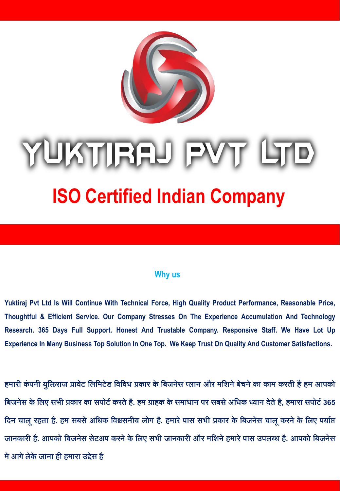

# UKTIRAJ PVT

### **ISO Certified Indian Company**

#### **Why us**

**Yuktiraj Pvt Ltd Is Will Continue With Technical Force, High Quality Product Performance, Reasonable Price, Thoughtful & Efficient Service. Our Company Stresses On The Experience Accumulation And Technology Research. 365 Days Full Support. Honest And Trustable Company. Responsive Staff. We Have Lot Up Experience In Many Business Top Solution In One Top. We Keep Trust On Quality And Customer Satisfactions.**

**हमारी किंपनी युबिराज प्रावेट बलबमटेड बवबवध प्रकार के बिजनेस प्लान और मबशनेिेर्नेका काम करिी हैहम आपको बिजनेस केबलए सभी प्रकार का सपोटिकरिेहै. हम ग्राहक केसमाधान पर सिसेअबधक ध्यान देिेहै, हमारा सपोटि365 बदन र्ालूरहिा है. हम सिसेअबधक बवश्वसनीय लोग है. हमारेपास सभी प्रकार के बिजनेस र्ालूकरनेके बलए पयािप्त जानकारी है. आपको बिजनेस सटे अप करनेकेबलए सभी जानकारी और मबशनेहमारेपास उपलब्ध है. आपको बिजनेस मेआगेलेकेजाना ही हमारा उद्देस है**